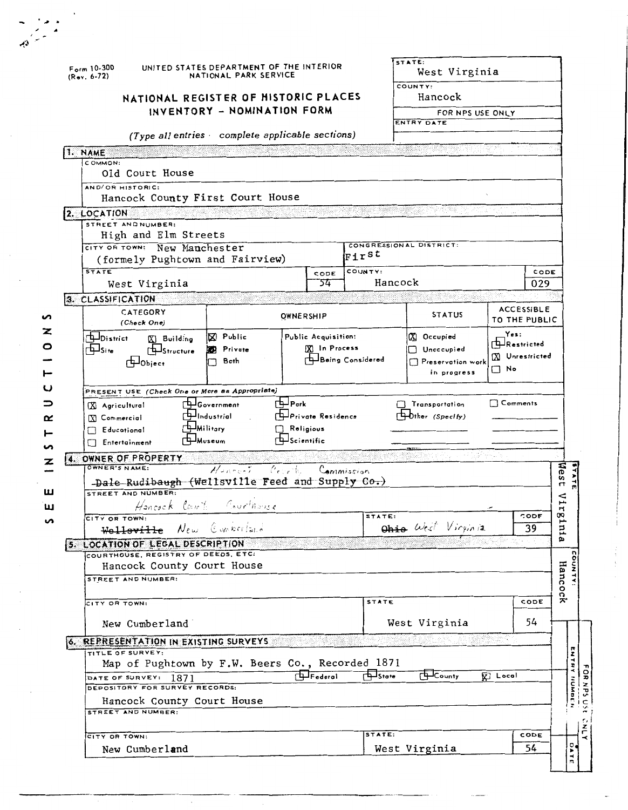| $Form 10-300$<br>$(Rev. 6-72)$                            | UNITED STATES DEPARTMENT OF THE INTERIOR<br>NATIONAL PARK SERVICE |                      |                                     |                                      | STATE:<br>West Virginia<br>COUNTY:      |                              |  |  |  |  |  |
|-----------------------------------------------------------|-------------------------------------------------------------------|----------------------|-------------------------------------|--------------------------------------|-----------------------------------------|------------------------------|--|--|--|--|--|
| NATIONAL REGISTER OF HISTORIC PLACES                      |                                                                   |                      |                                     |                                      | Hancock                                 |                              |  |  |  |  |  |
|                                                           | INVENTORY - NOMINATION FORM                                       |                      |                                     |                                      | FOR NPS USE ONLY                        |                              |  |  |  |  |  |
|                                                           |                                                                   |                      |                                     |                                      | ENTRY DATE                              |                              |  |  |  |  |  |
|                                                           | $(Type all entries - complete applicable sections)$               |                      |                                     |                                      |                                         |                              |  |  |  |  |  |
| 1. NAME                                                   |                                                                   |                      |                                     |                                      |                                         |                              |  |  |  |  |  |
| COMMON:<br>Old Court House                                |                                                                   |                      |                                     |                                      |                                         |                              |  |  |  |  |  |
| AND/OR HISTORIC:                                          |                                                                   |                      |                                     |                                      |                                         |                              |  |  |  |  |  |
| Hancock County First Court House                          |                                                                   |                      |                                     |                                      |                                         |                              |  |  |  |  |  |
| 2. LOCATION<br>STREET AND NUMBER:                         |                                                                   |                      |                                     |                                      | <u> Kabupatèn Bandar Bandar Pada Su</u> |                              |  |  |  |  |  |
| High and Elm Streets                                      |                                                                   |                      |                                     |                                      |                                         |                              |  |  |  |  |  |
| CITY OR TOWN: New Manchester                              |                                                                   |                      |                                     | First                                | CONGRESSIONAL DISTRICT:                 |                              |  |  |  |  |  |
| (formely Pughtown and Fairview)<br><b>STATE</b>           |                                                                   |                      |                                     | COUNTY:                              |                                         |                              |  |  |  |  |  |
| West Virginia                                             |                                                                   |                      | CODE<br>54                          | Hancock                              |                                         | CODE<br>029                  |  |  |  |  |  |
| 3. CLASSIFICATION                                         |                                                                   |                      |                                     |                                      |                                         |                              |  |  |  |  |  |
| CATEGORY                                                  |                                                                   | <b>OWNERSHIP</b>     |                                     |                                      | <b>STATUS</b>                           | <b>ACCESSIBLE</b>            |  |  |  |  |  |
| (Check One)                                               |                                                                   |                      |                                     |                                      |                                         | TO THE PUBLIC                |  |  |  |  |  |
| District<br>X Building                                    | X Public                                                          |                      | Public Acquisition:<br>X In Process |                                      | XI Occupied                             | Yes:<br>ARestricted          |  |  |  |  |  |
| $\Box$ Site<br><b>ELStructure</b><br><b>H</b> Object      | <b>Private</b><br>Both                                            |                      |                                     | <b>Example in grading Considered</b> | Unoccupied<br>Preservation work         | X Unrestricted               |  |  |  |  |  |
|                                                           |                                                                   |                      |                                     |                                      | in progress                             | $\square$ No                 |  |  |  |  |  |
| PRESENT USE (Check One or More as Appropriate)            |                                                                   |                      |                                     |                                      |                                         |                              |  |  |  |  |  |
| X Agricultural                                            | H-Government                                                      | r ‡⊒ Park            |                                     |                                      | Transportation                          | $\Box$ Comments              |  |  |  |  |  |
| X Commercial                                              | $\Box$ Industrial                                                 |                      | <b>Private Residence</b>            |                                      | Dther (Specify)                         |                              |  |  |  |  |  |
| Educational                                               | <b>H</b> Militory                                                 | Religious            |                                     |                                      |                                         |                              |  |  |  |  |  |
| Entertainment                                             | <b>∏—</b> Museum                                                  | <b>EL</b> Scientific |                                     |                                      |                                         | 15월 나타 1                     |  |  |  |  |  |
| 4. OWNER OF PROPERTY<br>OWNER'S NAME:                     | Henryth Court                                                     |                      |                                     | Commission                           |                                         |                              |  |  |  |  |  |
| -Dale Rudibaugh (Wellsville Feed and Supply Co.)          |                                                                   |                      |                                     |                                      |                                         |                              |  |  |  |  |  |
| STREET AND NUMBER:                                        |                                                                   |                      |                                     |                                      |                                         |                              |  |  |  |  |  |
| Hancock Court Courthouse                                  |                                                                   |                      |                                     |                                      |                                         |                              |  |  |  |  |  |
| CITY OR TOWN:<br>Welloville New Competiture               |                                                                   |                      |                                     | STATE:                               | Ohio West Virginia                      | CODE<br>39                   |  |  |  |  |  |
| 5. LOCATION OF LEGAL DESCRIPTION                          |                                                                   |                      |                                     |                                      |                                         |                              |  |  |  |  |  |
| COURTHOUSE, REGISTRY OF DEEDS, ETC:                       |                                                                   |                      |                                     |                                      |                                         |                              |  |  |  |  |  |
| Hancock County Court House<br>STREET AND NUMBER:          |                                                                   |                      |                                     |                                      |                                         |                              |  |  |  |  |  |
|                                                           |                                                                   |                      |                                     |                                      |                                         |                              |  |  |  |  |  |
| CITY OR TOWN:                                             |                                                                   | <b>STATE</b>         |                                     | CODE                                 |                                         |                              |  |  |  |  |  |
| 54<br>West Virginia<br>New Cumberland                     |                                                                   |                      |                                     |                                      |                                         |                              |  |  |  |  |  |
|                                                           |                                                                   |                      |                                     |                                      |                                         | 1999년 - 대한민국의 대한민국의 대한민국의 기대 |  |  |  |  |  |
| 6. REPRESENTATION IN EXISTING SURVEYS<br>TITLE OF SURVEY: |                                                                   |                      |                                     |                                      |                                         |                              |  |  |  |  |  |
| Map of Pughtown by F.W. Beers Co., Recorded 1871          |                                                                   |                      |                                     |                                      |                                         |                              |  |  |  |  |  |
| DATE OF SURVEY: 1871<br>DEPOSITORY FOR SURVEY RECORDS:    |                                                                   |                      | $F$ ederal                          | $F = 5$ tote                         | $F +$ County                            | <b>V</b> Local               |  |  |  |  |  |
| Hancock County Court House                                |                                                                   |                      |                                     |                                      |                                         |                              |  |  |  |  |  |
|                                                           |                                                                   |                      |                                     |                                      |                                         |                              |  |  |  |  |  |
| STREET AND NUMBER:                                        |                                                                   |                      |                                     |                                      |                                         |                              |  |  |  |  |  |
|                                                           |                                                                   |                      |                                     |                                      |                                         |                              |  |  |  |  |  |
| CITY OR TOWN:<br>New Cumberland                           |                                                                   |                      |                                     | STATE:                               | West Virginia                           | CODE<br>54                   |  |  |  |  |  |

Ţ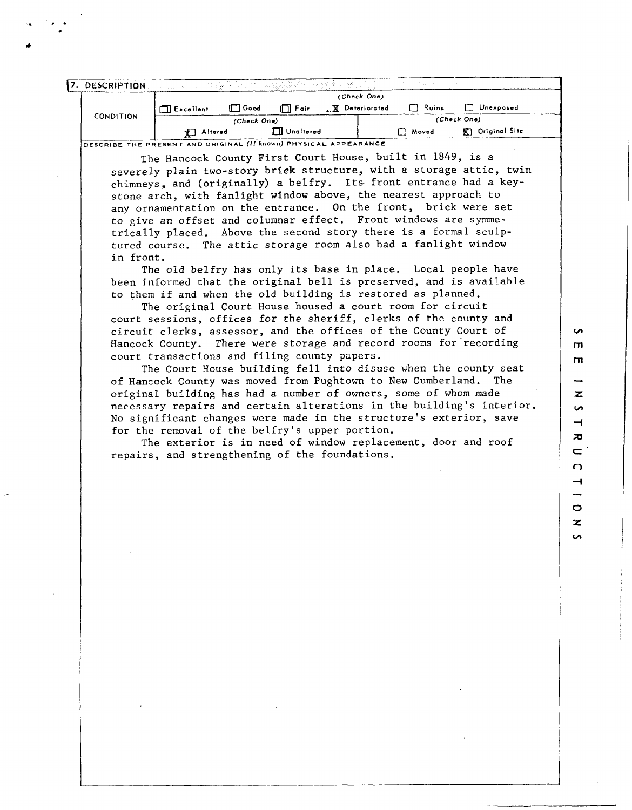|                  | Altered<br>丈     |             | <b>ITT</b> Unaltered |                                                | n Moved      | Original Site<br>K). |  |  |
|------------------|------------------|-------------|----------------------|------------------------------------------------|--------------|----------------------|--|--|
| <b>CONDITION</b> |                  | (Check One) |                      |                                                | (Check One)  |                      |  |  |
|                  | $\Box$ Excellent | $\Box$ Good | $\Box$ Foir          | <b>X</b> Deteriorated                          | $\Box$ Ruins | □<br>Unexposed       |  |  |
|                  | (Check One)      |             |                      |                                                |              |                      |  |  |
| 7. DESCRIPTION   |                  | 52. 스포트     |                      | "你叫你 <u>我想好好解放</u> 啊,你都是这个人来看好?"哈哈一笑,"你不是我不好了。 |              |                      |  |  |

The Hancock County First Court House, built in 1849, is a severely plain two-story brick structure, with a storage attic, twin chimneys, and (originally) a belfry. Its front entrance had a keystone arch, with fanlight window above, the nearest approach to any ornamentation on the entrance. On the front, brick were set to give an offset and columnar effect. Front windows are symmetrically placed. Above the second story there is a formal sculptured course. The attic storage room also had a fanlight window in front.

The old belfry has only its base in place. Local people have been informed that the original bell is preserved, and is available to them if and when the old building is restored as planned.

The original Court House housed a court room for circuit court sessions, offices for the sheriff, clerks of the county and circuit clerks, assessor, and the offices of the County Court of Hancock County. There were storage and record rooms for recording court transactions and filing county papers.

The Court House building fell into disuse when the county seat of Hancock County was moved from Pughtown to New Cumberland. The original building has had a number of owners, some of whom made necessary repairs and certain alterations in the building's interior. No significant changes were made in the structure's exterior, save for the removal of the belfry's upper portion.

The exterior is in need of window replacement, door and roof repairs, and strengthening of the foundations.

 $\mathbf{m}$ m z. **S**  $\overline{\phantom{0}}$  $\overline{a}$  $\equiv$ C Ţ <u>.</u>  $\circ$  $\overline{\mathbf{z}}$ 

**S** 

**S**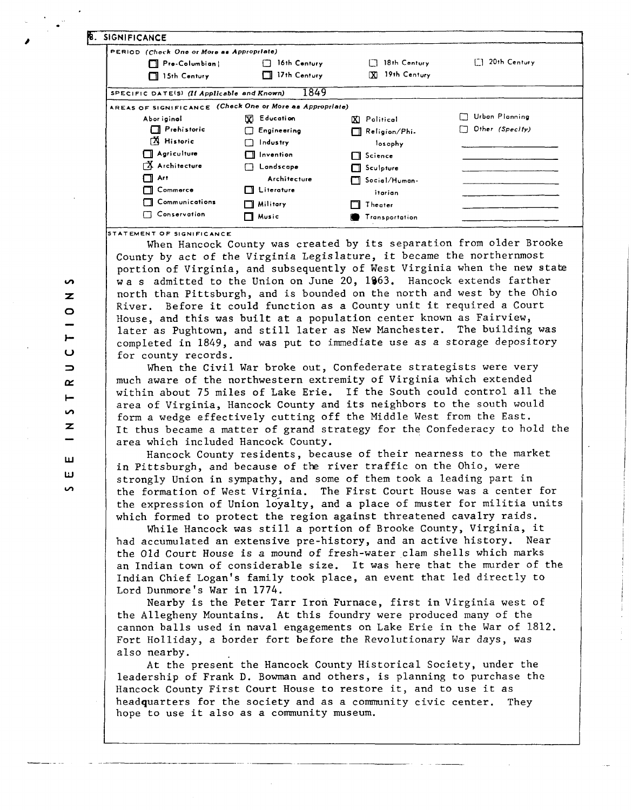| <b>8. SIGNIFICANCE</b>                                   |                    |                      |                       |
|----------------------------------------------------------|--------------------|----------------------|-----------------------|
| PERIOD (Check One or More as Appropriate)                |                    |                      |                       |
| $\Box$ Pre-Columbian                                     | 16th Century       | 18th Century         | 20th Century          |
| 15th Century                                             | 17th Century<br>П  | 19th Century<br>ľХI  |                       |
| SPECIFIC DATE(S) (If Applicable and Known)               | 1849               |                      |                       |
| AREAS OF SIGNIFICANCE (Check One or More as Appropriate) |                    |                      |                       |
| Abor iginal                                              | <b>X</b> Education | <b>XI</b> Political  | <b>Urbon Planning</b> |
| Prehistoric                                              | Engineering<br>ΓI  | $\Box$ Religion/Phi. | Other (Specify)       |
| <b>A</b> Historic                                        | Industry           | losophy              |                       |
| $\Box$ Agriculture                                       | $\Box$ Invention   | $\Box$ Science       |                       |
| Architecture                                             | $\Box$ Landscape   | $\Box$ Sculpture     |                       |
| $\Box$ Art                                               | Architecture       | $\Box$ Social/Human- |                       |
| □ Commerce                                               | $\prod$ Literature | itarian              |                       |
| $\Box$ Communications                                    | $\Box$ Military    | Theater              |                       |
| Conservation                                             | $\Box$ Music       | Transportation       |                       |

**8TATEMENT OF SIGNIFICANCE** 

When Hancock County was created by its separation from older Brooke County by act of the Virginia Legislature, it became the northernmost portion of Virginia, and subsequently of West Virginia when the new state wa s admitted to the Union on June 20, 1963. Hancock extends farther north than Pittsburgh, and is bounded on the north and west by the Ohio River. Before it could function as a County unit it required a Court House, and this was built at a population center known as Fairview, later as Pughtown, and still later as New Manchester. The building was completed in 1849, and was put to immediate use as a storage depository for county records.

When the Civil War broke out, Confederate strategists were very much aware of the northwestern extremity of Virginia which extended within about 75 miles of Lake Erie. If the South could control all the area of Virginia, Hancock County and its neighbors to the south would form a wedge effectively cutting off the Middle West from the East. It thus became a matter of grand strategy for the Confederacy to hold the area which included Hancock County.

Hancock County residents, because of their nearness to the market in Pittsburgh, and because of the river traffic on the Ohio, were strongly Union in sympathy, and some of them took a leading part in the formation of West Virginia. The First Court House was a center for the expression of Union loyalty, and a place of muster for militia units which formed to protect the region against threatened cavalry raids.

While Hancock was still a portion of Brooke County, Virginia, it had accumulated an extensive pre-history, and an active history. Near the Old Court House is a mound of fresh-water clam shells which marks an Indian town of considerable size. It was here that the murder of the Indian Chief Logan's family took place, an event that led directly to Lord Dunmore's War in 1774.

Nearby is the Peter Tarr Iron Furnace, first in Virginia west of the Allegheny Mountains. At this foundry were produced many of the cannon balls used in naval engagements on Lake Erie in the War of 1812. Fort Holliday, a border fort before the Revolutionary War days, was also nearby.

At the present the Hancock County Historical Society, under the leadership of Frank D. Bowman and others, is planning to purchase the Hancock County First Court House to restore it, and to use it as headquarters for the society and as a community civic center. They hope to use it also as a community museum.

 $\overline{z}$  $\circ$  $\overline{ }$  $\cup$  $\Rightarrow$  $\alpha$  $\overline{\phantom{0}}$  $\sim$ z ш ш  $\overline{a}$ 

 $\sim$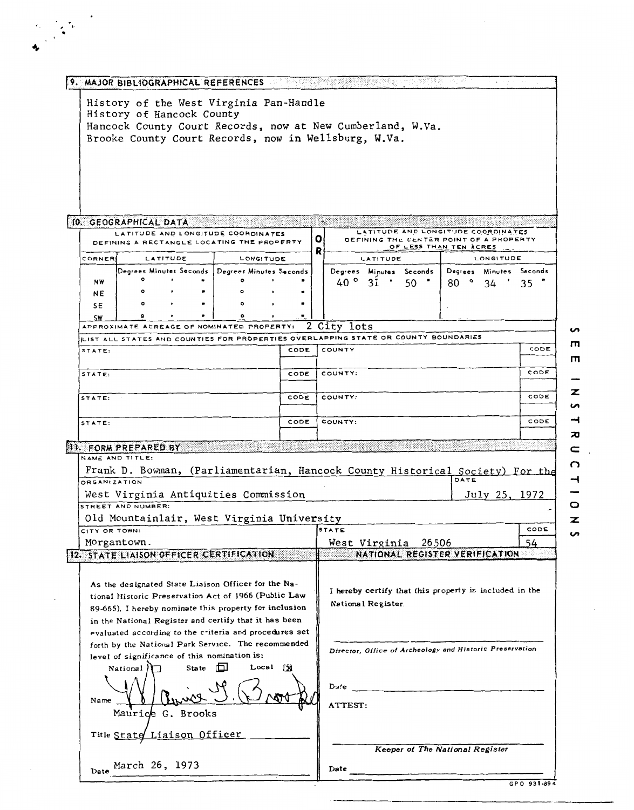|                                      | 9. MAJOR BIBLIOGRAPHICAL REFERENCES                                                                                                |          |              |           |                    |      |   |                  |                                                                               | 12241, 전쟁 1930년 2월 2일 - 12월 20일 12월 12일 12월 12일 |                |      |               |                         |
|--------------------------------------|------------------------------------------------------------------------------------------------------------------------------------|----------|--------------|-----------|--------------------|------|---|------------------|-------------------------------------------------------------------------------|-------------------------------------------------|----------------|------|---------------|-------------------------|
|                                      | History of the West Virginia Pan-Handle<br>History of Hancock County<br>Hancock County Court Records, now at New Cumberland, W.Va. |          |              |           |                    |      |   |                  |                                                                               |                                                 |                |      |               |                         |
|                                      | Brooke County Court Records, now in Wellsburg, W.Va.                                                                               |          |              |           |                    |      |   |                  |                                                                               |                                                 |                |      |               |                         |
|                                      |                                                                                                                                    |          |              |           |                    |      |   |                  |                                                                               |                                                 |                |      |               |                         |
|                                      |                                                                                                                                    |          |              |           |                    |      |   |                  |                                                                               |                                                 |                |      |               |                         |
|                                      |                                                                                                                                    |          |              |           |                    |      |   |                  |                                                                               |                                                 |                |      |               |                         |
|                                      | 10. GEOGRAPHICAL DATA                                                                                                              |          |              |           |                    |      |   |                  |                                                                               |                                                 |                |      |               |                         |
|                                      | LATITUDE AND LONGITUDE COORDINATES<br>DEFINING A RECTANGLE LOCATING THE PROPERTY                                                   |          |              |           |                    |      | 0 |                  | LATITUDE AND LONGITUDE COORDINATES<br>DEFINING THE CENTER POINT OF A PROPERTY |                                                 |                |      |               |                         |
| CORNER                               |                                                                                                                                    | LATITUDE |              | LONGITUDE |                    |      | R |                  | LATITUDE                                                                      | OF LESS THAN TEN ACRES                          |                |      | LONGITUDE     |                         |
|                                      | Degrees Minutes Seconds   Degrees Minutes Seconds                                                                                  |          |              |           |                    |      |   |                  | Degrees Minutes Seconds                                                       |                                                 |                |      |               | Degrees Minutes Seconds |
| NW<br>ΝE                             |                                                                                                                                    |          |              |           |                    |      |   | $40^{\circ}$     | 31                                                                            | 50                                              | $80$ $\degree$ |      | 34            | 35                      |
| 5E                                   |                                                                                                                                    |          |              |           |                    |      |   |                  |                                                                               |                                                 |                |      |               |                         |
| <b>SW</b>                            | APPROXIMATE ACREAGE OF NOMINATED PROPERTY:                                                                                         |          |              |           |                    |      |   | 2 City lots      |                                                                               |                                                 |                |      |               |                         |
|                                      | LIST ALL STATES AND COUNTIES FOR PROPERTIES OVERLAPPING STATE OR COUNTY BOUNDARIES                                                 |          |              |           |                    |      |   |                  |                                                                               |                                                 |                |      |               |                         |
| STATE:                               |                                                                                                                                    |          |              |           |                    | CODE |   | COUNTY           |                                                                               |                                                 |                |      |               | CODE                    |
| STATE:                               |                                                                                                                                    |          |              |           |                    | CODE |   | COUNTY:          |                                                                               |                                                 |                |      |               | CODE                    |
| STATE:                               |                                                                                                                                    |          |              |           |                    |      |   |                  |                                                                               |                                                 |                |      |               |                         |
|                                      |                                                                                                                                    |          |              |           |                    | CODE |   | COUNTY:          |                                                                               |                                                 |                |      |               | CODE                    |
| STATE:                               |                                                                                                                                    |          |              |           |                    | CODE |   | COUNTY:          |                                                                               |                                                 |                |      |               | CODE                    |
|                                      |                                                                                                                                    |          |              |           |                    |      |   |                  |                                                                               |                                                 |                |      |               |                         |
|                                      | <b>11. FORM PREPARED BY</b>                                                                                                        |          |              |           |                    |      |   |                  |                                                                               |                                                 |                |      |               |                         |
|                                      | NAME AND TITLE:<br>Frank D. Bowman, (Parliamentarian, Hancock County Historical Society) For the                                   |          |              |           |                    |      |   |                  |                                                                               |                                                 |                |      |               |                         |
|                                      |                                                                                                                                    |          |              |           |                    |      |   |                  |                                                                               |                                                 |                | DATE |               |                         |
|                                      | West Virginia Antiquities Commission<br>STREET AND NUMBER:                                                                         |          |              |           |                    |      |   |                  |                                                                               |                                                 |                |      | July 25, 1972 |                         |
|                                      | Old Mountainlair, West Virginia University                                                                                         |          |              |           |                    |      |   |                  |                                                                               |                                                 |                |      |               |                         |
|                                      |                                                                                                                                    |          |              |           |                    |      |   | STATE            |                                                                               |                                                 |                |      |               | CODE                    |
|                                      | Morgantown.                                                                                                                        |          |              |           |                    |      |   |                  | West Virginia 26506                                                           |                                                 |                |      |               | 54                      |
| <b>ORGANIZATION</b><br>CITY OR TOWN: | 12. STATE LIAISON OFFICER CERTIFICATION                                                                                            |          |              |           |                    |      |   |                  | NATIONAL REGISTER VERIFICATION                                                |                                                 |                |      |               |                         |
|                                      | As the designated State Liaison Officer for the Na-                                                                                |          |              |           |                    |      |   |                  |                                                                               |                                                 |                |      |               |                         |
|                                      | tional Historic Preservation Act of 1966 (Public Law                                                                               |          |              |           |                    |      |   |                  | I hereby certify that this property is included in the                        |                                                 |                |      |               |                         |
|                                      | 89-665). I hereby nominate this property for inclusion                                                                             |          |              |           |                    |      |   |                  | National Register.                                                            |                                                 |                |      |               |                         |
|                                      | in the National Register and certify that it has been                                                                              |          |              |           |                    |      |   |                  |                                                                               |                                                 |                |      |               |                         |
|                                      | evaluated according to the criteria and procedures set<br>forth by the National Park Service. The recommended                      |          |              |           |                    |      |   |                  |                                                                               |                                                 |                |      |               |                         |
|                                      | level of significance of this nomination is:                                                                                       |          |              |           |                    |      |   |                  | Director, Office of Archeology and Historic Preservation                      |                                                 |                |      |               |                         |
|                                      | National                                                                                                                           |          | State $\Box$ |           | $Local$ $\sqrt{3}$ |      |   |                  |                                                                               |                                                 |                |      |               |                         |
|                                      |                                                                                                                                    |          |              |           |                    |      |   | $\mathbf{D}$ afe |                                                                               |                                                 |                |      |               |                         |
| Name                                 | Maurice G. Brooks                                                                                                                  |          |              |           |                    |      |   | ATTEST:          |                                                                               |                                                 |                |      |               |                         |
|                                      | Title State Liaison Officer                                                                                                        |          |              |           |                    |      |   |                  |                                                                               |                                                 |                |      |               |                         |
|                                      | Date March 26, 1973                                                                                                                |          |              |           |                    |      |   |                  |                                                                               | Keeper of The National Register                 |                |      |               |                         |

 $\overline{m}$  $\mathbf{m}$  $\overline{\phantom{0}}$  $\overline{\mathbf{z}}$  $\overline{v}$  $\rightarrow$  $\overline{\bm{x}}$ UCTIONS

 $\cdot$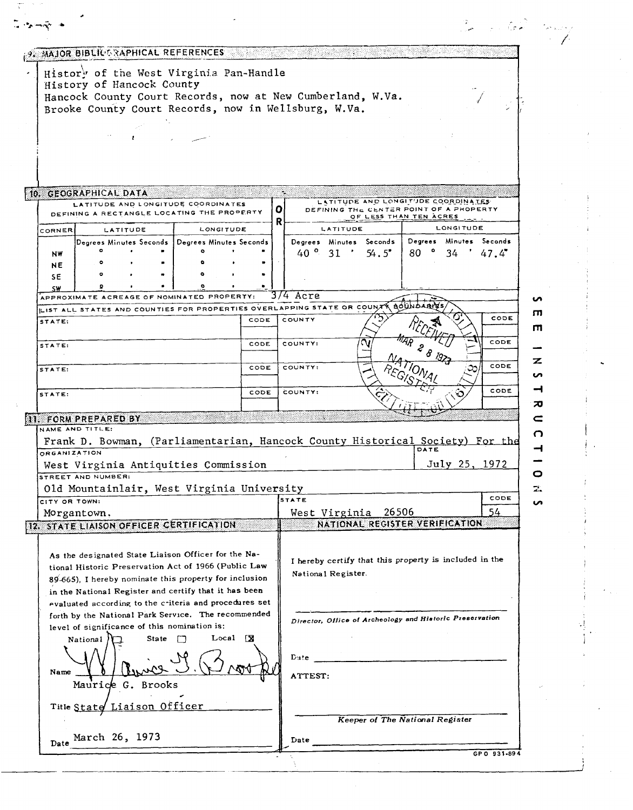| . 9. MAJOR BIBLIC SAPHICAL REFERENCES                                                                                                                                                                                          |                                                                                                                                                    |               |
|--------------------------------------------------------------------------------------------------------------------------------------------------------------------------------------------------------------------------------|----------------------------------------------------------------------------------------------------------------------------------------------------|---------------|
| History of the West Virginia Pan-Handle<br>History of Hancock County<br>Hancock County Court Records, now at New Cumberland, W.Va.<br>Brooke County Court Records, now in Wellsburg, W.Va.                                     |                                                                                                                                                    |               |
|                                                                                                                                                                                                                                |                                                                                                                                                    |               |
|                                                                                                                                                                                                                                |                                                                                                                                                    |               |
| 10. GEOGRAPHICAL DATA<br>LATITUDE AND LONGITUDE COORDINATES<br>DEFINING A RECTANGLE LOCATING THE PROPERTY                                                                                                                      | LATITUDE AND LONGITUDE COORDINATES<br>$\mathbf{o}$<br>DEFINING THE CENTER POINT OF A PROPERTY<br>OF LESS THAN TEN ACRES                            |               |
| <b>LONGITUDE</b><br>CORNER<br>LATITUDE                                                                                                                                                                                         | R.<br><b>LONGITUDE</b><br>LATITUDE                                                                                                                 |               |
| Degrees Minutes Seconds   Degrees Minutes Seconds<br>NW                                                                                                                                                                        | Degrees Minutes Seconds<br>Degrees Minutes Seconds<br>$40^{\circ}$ 31 $'$<br>54.5"<br>80<br>34.                                                    | 47.4          |
| NE<br><b>SE</b>                                                                                                                                                                                                                |                                                                                                                                                    |               |
| SW<br>APPROXIMATE ACREAGE OF NOMINATED PROPERTY:                                                                                                                                                                               | 3/4 Acre                                                                                                                                           |               |
| LIST ALL STATES AND COUNTIES FOR PROPERTIES OVERLAPPING STATE OR COUNT                                                                                                                                                         | <b>AÓUNDA</b>                                                                                                                                      |               |
| STATE:                                                                                                                                                                                                                         | COUNTY<br>CODE                                                                                                                                     | CODE          |
| STATE:                                                                                                                                                                                                                         | COUNTY:<br>CODE                                                                                                                                    | CODE          |
| STATE:                                                                                                                                                                                                                         | COUNTY:<br>CODE                                                                                                                                    | CODE          |
| STATE:                                                                                                                                                                                                                         | COUNTY:<br>CODE                                                                                                                                    | CODE          |
| [11. FORM PREPARED BY<br>NAME AND TITLE:                                                                                                                                                                                       |                                                                                                                                                    |               |
| <b>ORGANIZATION</b>                                                                                                                                                                                                            | Frank D. Bowman, (Parliamentarian, Hancock County Historical Society) For the<br>DATE                                                              |               |
| West Virginia Antiquities Commission<br>STREET AND NUMBER:                                                                                                                                                                     |                                                                                                                                                    | July 25, 1972 |
| Old Mountainlair, West Virginia University                                                                                                                                                                                     |                                                                                                                                                    |               |
| CITY OR TOWN:                                                                                                                                                                                                                  | <b>STATE</b>                                                                                                                                       | CODE          |
| Morgantown,                                                                                                                                                                                                                    | 26506<br>West Virginia                                                                                                                             | 54            |
| 12. STATE LIAISON OFFICER CERTIFICATION                                                                                                                                                                                        | NATIONAL REGISTER VERIFICATION                                                                                                                     |               |
| As the designated State Liaison Officer for the Na-<br>tional Historic Preservation Act of 1966 (Public Law<br>89-665), I hereby nominate this property for inclusion<br>in the National Register and certify that it has been | I hereby certify that this property is included in the<br>National Register.                                                                       |               |
| evaluated according to the criteria and procedures set<br>forth by the National Park Service. The recommended<br>level of significance of this nomination is:<br>$Local$ $X$<br>State<br>$\Box$<br>National                    | Director, Office of Archeology and Historic Preservation                                                                                           |               |
| Name                                                                                                                                                                                                                           | $_{\rm Date}$<br><u> 1980 - Jan Salaman, mangalang pada salah sahiji di kacamatan di Salaman Salaman Salaman Salaman Salaman Salama</u><br>ATTEST: |               |
| Maurice G. Brooks                                                                                                                                                                                                              |                                                                                                                                                    |               |
| Title State Liaison Officer                                                                                                                                                                                                    | Keeper of The National Register                                                                                                                    |               |
| March 26, 1973<br>Date                                                                                                                                                                                                         | Date                                                                                                                                               |               |

Z.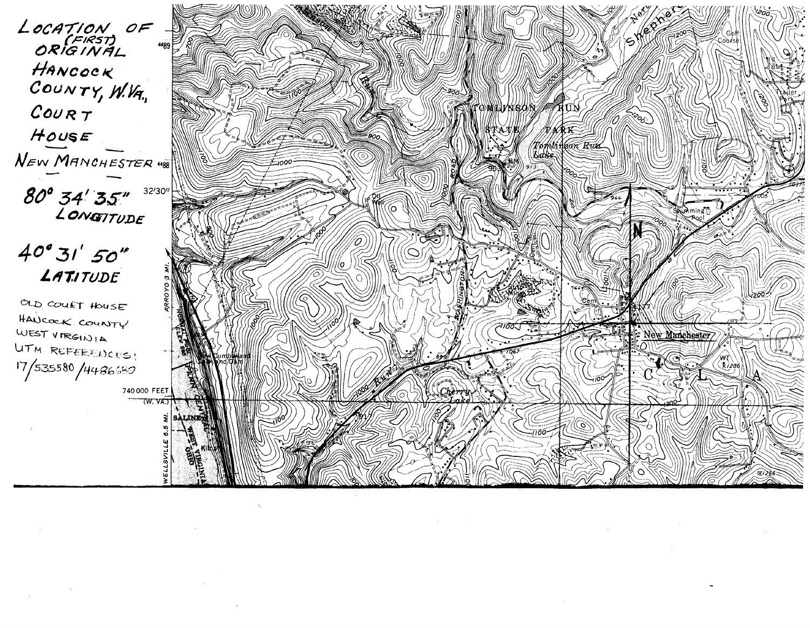LOCATION OF 4489 HANCOCK COUNTY, W.VA.,  $CouRT$ HOUSE NEW MANCHESTER 488 80° 34' 35" 37 32/30"

 $40°31'50''$ LATITUDE

OLD COURT HOUSE HANCOCK COUNTY WEST VIRGINIA UTM REFERENCES!  $17/53580/4486680$